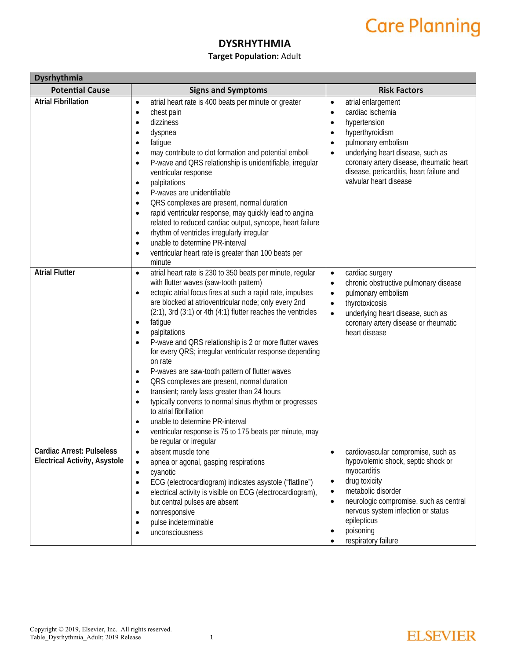#### **DYSRHYTHMIA**

#### **Target Population:** Adult

| Dysrhythmia                                                              |                                                                                                                                                                                                                                                                                                                                                                                                                                                                                                                                                                                                                                                                                                                                                                                                                                                                                                                                                                          |                                                                                                                                                                                                                                                                                                                       |  |
|--------------------------------------------------------------------------|--------------------------------------------------------------------------------------------------------------------------------------------------------------------------------------------------------------------------------------------------------------------------------------------------------------------------------------------------------------------------------------------------------------------------------------------------------------------------------------------------------------------------------------------------------------------------------------------------------------------------------------------------------------------------------------------------------------------------------------------------------------------------------------------------------------------------------------------------------------------------------------------------------------------------------------------------------------------------|-----------------------------------------------------------------------------------------------------------------------------------------------------------------------------------------------------------------------------------------------------------------------------------------------------------------------|--|
| <b>Potential Cause</b>                                                   | <b>Signs and Symptoms</b>                                                                                                                                                                                                                                                                                                                                                                                                                                                                                                                                                                                                                                                                                                                                                                                                                                                                                                                                                | <b>Risk Factors</b>                                                                                                                                                                                                                                                                                                   |  |
| <b>Atrial Fibrillation</b>                                               | atrial heart rate is 400 beats per minute or greater<br>$\bullet$<br>chest pain<br>$\bullet$<br>dizziness<br>٠<br>dyspnea<br>٠<br>fatigue<br>$\bullet$<br>may contribute to clot formation and potential emboli<br>$\bullet$<br>P-wave and QRS relationship is unidentifiable, irregular<br>$\bullet$<br>ventricular response<br>palpitations<br>$\bullet$<br>P-waves are unidentifiable<br>$\bullet$<br>QRS complexes are present, normal duration<br>$\bullet$<br>rapid ventricular response, may quickly lead to angina<br>$\bullet$<br>related to reduced cardiac output, syncope, heart failure<br>rhythm of ventricles irregularly irregular<br>$\bullet$<br>unable to determine PR-interval<br>$\bullet$<br>ventricular heart rate is greater than 100 beats per<br>$\bullet$<br>minute                                                                                                                                                                           | atrial enlargement<br>$\bullet$<br>cardiac ischemia<br>$\bullet$<br>hypertension<br>$\bullet$<br>hyperthyroidism<br>pulmonary embolism<br>underlying heart disease, such as<br>$\bullet$<br>coronary artery disease, rheumatic heart<br>disease, pericarditis, heart failure and<br>valvular heart disease            |  |
| <b>Atrial Flutter</b>                                                    | atrial heart rate is 230 to 350 beats per minute, regular<br>$\bullet$<br>with flutter waves (saw-tooth pattern)<br>ectopic atrial focus fires at such a rapid rate, impulses<br>$\bullet$<br>are blocked at atrioventricular node; only every 2nd<br>$(2:1)$ , 3rd $(3:1)$ or 4th $(4:1)$ flutter reaches the ventricles<br>fatigue<br>$\bullet$<br>palpitations<br>$\bullet$<br>P-wave and QRS relationship is 2 or more flutter waves<br>$\bullet$<br>for every QRS; irregular ventricular response depending<br>on rate<br>P-waves are saw-tooth pattern of flutter waves<br>$\bullet$<br>QRS complexes are present, normal duration<br>$\bullet$<br>transient; rarely lasts greater than 24 hours<br>$\bullet$<br>typically converts to normal sinus rhythm or progresses<br>$\bullet$<br>to atrial fibrillation<br>unable to determine PR-interval<br>$\bullet$<br>ventricular response is 75 to 175 beats per minute, may<br>$\bullet$<br>be regular or irregular | cardiac surgery<br>$\bullet$<br>chronic obstructive pulmonary disease<br>$\bullet$<br>pulmonary embolism<br>$\bullet$<br>thyrotoxicosis<br>$\bullet$<br>underlying heart disease, such as<br>$\bullet$<br>coronary artery disease or rheumatic<br>heart disease                                                       |  |
| <b>Cardiac Arrest: Pulseless</b><br><b>Electrical Activity, Asystole</b> | absent muscle tone<br>$\bullet$<br>apnea or agonal, gasping respirations<br>$\bullet$<br>cyanotic<br>$\bullet$<br>ECG (electrocardiogram) indicates asystole ("flatline")<br>$\bullet$<br>electrical activity is visible on ECG (electrocardiogram),<br>$\bullet$<br>but central pulses are absent<br>nonresponsive<br>$\bullet$<br>pulse indeterminable<br>unconsciousness                                                                                                                                                                                                                                                                                                                                                                                                                                                                                                                                                                                              | cardiovascular compromise, such as<br>hypovolemic shock, septic shock or<br>myocarditis<br>drug toxicity<br>$\bullet$<br>metabolic disorder<br>$\bullet$<br>neurologic compromise, such as central<br>$\bullet$<br>nervous system infection or status<br>epilepticus<br>poisoning<br>$\bullet$<br>respiratory failure |  |

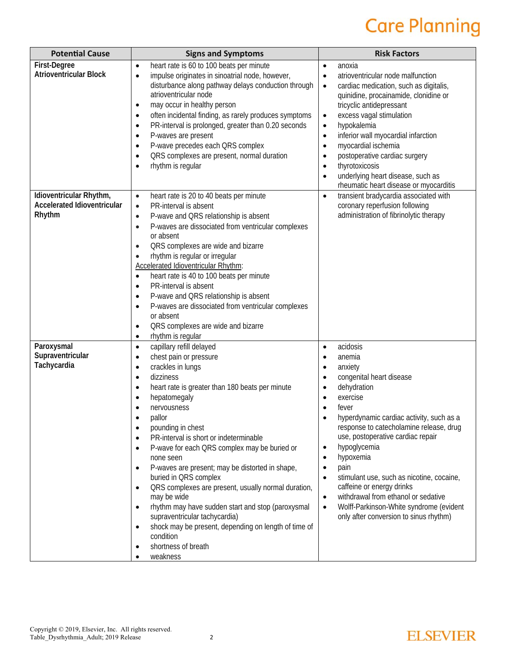| <b>Potential Cause</b>                                                  | <b>Signs and Symptoms</b>                                                                                                                                                                                                                                                                                                                                                                                                                                                                                                                                                                                                                                                                                                                                                                                                             | <b>Risk Factors</b>                                                                                                                                                                                                                                                                                                                                                                                                                                                                                                                                                                                                                           |
|-------------------------------------------------------------------------|---------------------------------------------------------------------------------------------------------------------------------------------------------------------------------------------------------------------------------------------------------------------------------------------------------------------------------------------------------------------------------------------------------------------------------------------------------------------------------------------------------------------------------------------------------------------------------------------------------------------------------------------------------------------------------------------------------------------------------------------------------------------------------------------------------------------------------------|-----------------------------------------------------------------------------------------------------------------------------------------------------------------------------------------------------------------------------------------------------------------------------------------------------------------------------------------------------------------------------------------------------------------------------------------------------------------------------------------------------------------------------------------------------------------------------------------------------------------------------------------------|
| First-Degree<br><b>Atrioventricular Block</b>                           | heart rate is 60 to 100 beats per minute<br>$\bullet$<br>impulse originates in sinoatrial node, however,<br>$\bullet$<br>disturbance along pathway delays conduction through<br>atrioventricular node<br>may occur in healthy person<br>$\bullet$<br>often incidental finding, as rarely produces symptoms<br>$\bullet$<br>PR-interval is prolonged, greater than 0.20 seconds<br>$\bullet$<br>P-waves are present<br>$\bullet$<br>P-wave precedes each QRS complex<br>$\bullet$<br>QRS complexes are present, normal duration<br>$\bullet$<br>rhythm is regular<br>$\bullet$                                                                                                                                                                                                                                                         | anoxia<br>$\bullet$<br>atrioventricular node malfunction<br>$\bullet$<br>cardiac medication, such as digitalis,<br>$\bullet$<br>quinidine, procainamide, clonidine or<br>tricyclic antidepressant<br>excess vagal stimulation<br>$\bullet$<br>hypokalemia<br>$\bullet$<br>inferior wall myocardial infarction<br>$\bullet$<br>myocardial ischemia<br>$\bullet$<br>postoperative cardiac surgery<br>$\bullet$<br>thyrotoxicosis<br>$\bullet$<br>underlying heart disease, such as<br>$\bullet$<br>rheumatic heart disease or myocarditis                                                                                                       |
| Idioventricular Rhythm,<br><b>Accelerated Idioventricular</b><br>Rhythm | heart rate is 20 to 40 beats per minute<br>$\bullet$<br>PR-interval is absent<br>$\bullet$<br>P-wave and QRS relationship is absent<br>$\bullet$<br>P-waves are dissociated from ventricular complexes<br>$\bullet$<br>or absent<br>QRS complexes are wide and bizarre<br>$\bullet$<br>rhythm is regular or irregular<br>$\bullet$<br><b>Accelerated Idioventricular Rhythm:</b><br>heart rate is 40 to 100 beats per minute<br>$\bullet$<br>PR-interval is absent<br>$\bullet$<br>P-wave and QRS relationship is absent<br>$\bullet$<br>P-waves are dissociated from ventricular complexes<br>$\bullet$<br>or absent<br>QRS complexes are wide and bizarre<br>$\bullet$<br>rhythm is regular<br>$\bullet$                                                                                                                            | transient bradycardia associated with<br>$\bullet$<br>coronary reperfusion following<br>administration of fibrinolytic therapy                                                                                                                                                                                                                                                                                                                                                                                                                                                                                                                |
| Paroxysmal<br>Supraventricular<br>Tachycardia                           | capillary refill delayed<br>$\bullet$<br>chest pain or pressure<br>$\bullet$<br>crackles in lungs<br>$\bullet$<br>dizziness<br>$\bullet$<br>heart rate is greater than 180 beats per minute<br>$\bullet$<br>hepatomegaly<br>$\bullet$<br>nervousness<br>pallor<br>pounding in chest<br>$\bullet$<br>PR-interval is short or indeterminable<br>$\bullet$<br>P-wave for each QRS complex may be buried or<br>$\bullet$<br>none seen<br>P-waves are present; may be distorted in shape,<br>$\bullet$<br>buried in QRS complex<br>QRS complexes are present, usually normal duration,<br>$\bullet$<br>may be wide<br>rhythm may have sudden start and stop (paroxysmal<br>$\bullet$<br>supraventricular tachycardia)<br>shock may be present, depending on length of time of<br>$\bullet$<br>condition<br>shortness of breath<br>weakness | acidosis<br>$\bullet$<br>anemia<br>$\bullet$<br>anxiety<br>$\bullet$<br>congenital heart disease<br>$\bullet$<br>dehydration<br>$\bullet$<br>exercise<br>$\bullet$<br>fever<br>$\bullet$<br>hyperdynamic cardiac activity, such as a<br>response to catecholamine release, drug<br>use, postoperative cardiac repair<br>hypoglycemia<br>$\bullet$<br>hypoxemia<br>$\bullet$<br>pain<br>$\bullet$<br>stimulant use, such as nicotine, cocaine,<br>$\bullet$<br>caffeine or energy drinks<br>withdrawal from ethanol or sedative<br>$\bullet$<br>Wolff-Parkinson-White syndrome (evident<br>$\bullet$<br>only after conversion to sinus rhythm) |

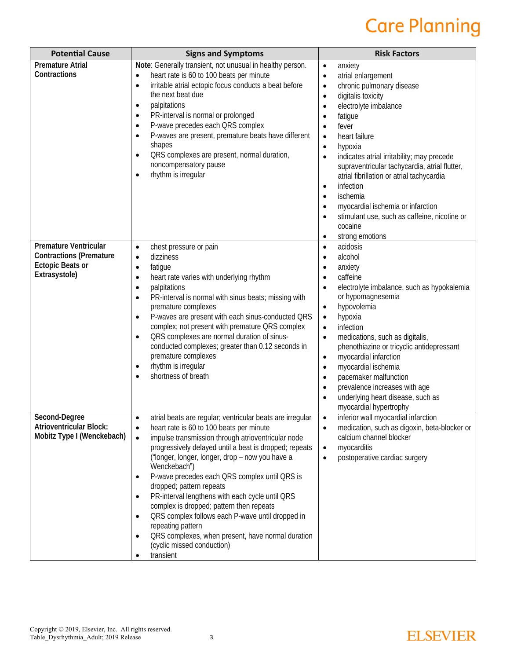| <b>Potential Cause</b>                                                                              | <b>Signs and Symptoms</b>                                                                                                                                                                                                                                                                                                                                                                                                                                                                                                                                                                                                                                                                                      | <b>Risk Factors</b>                                                                                                                                                                                                                                                                                                                                                                                                                                                                                                                                                                                                                                  |
|-----------------------------------------------------------------------------------------------------|----------------------------------------------------------------------------------------------------------------------------------------------------------------------------------------------------------------------------------------------------------------------------------------------------------------------------------------------------------------------------------------------------------------------------------------------------------------------------------------------------------------------------------------------------------------------------------------------------------------------------------------------------------------------------------------------------------------|------------------------------------------------------------------------------------------------------------------------------------------------------------------------------------------------------------------------------------------------------------------------------------------------------------------------------------------------------------------------------------------------------------------------------------------------------------------------------------------------------------------------------------------------------------------------------------------------------------------------------------------------------|
| <b>Premature Atrial</b><br>Contractions                                                             | Note: Generally transient, not unusual in healthy person.<br>heart rate is 60 to 100 beats per minute<br>$\bullet$<br>irritable atrial ectopic focus conducts a beat before<br>$\bullet$<br>the next beat due<br>palpitations<br>$\bullet$<br>PR-interval is normal or prolonged<br>$\bullet$<br>P-wave precedes each QRS complex<br>$\bullet$<br>P-waves are present, premature beats have different<br>$\bullet$<br>shapes<br>QRS complexes are present, normal duration,<br>$\bullet$<br>noncompensatory pause<br>rhythm is irregular                                                                                                                                                                       | anxiety<br>$\bullet$<br>atrial enlargement<br>$\bullet$<br>chronic pulmonary disease<br>$\bullet$<br>digitalis toxicity<br>$\bullet$<br>electrolyte imbalance<br>$\bullet$<br>fatigue<br>$\bullet$<br>fever<br>$\bullet$<br>heart failure<br>$\bullet$<br>hypoxia<br>$\bullet$<br>indicates atrial irritability; may precede<br>$\bullet$<br>supraventricular tachycardia, atrial flutter,<br>atrial fibrillation or atrial tachycardia<br>infection<br>$\bullet$<br>ischemia<br>$\bullet$<br>myocardial ischemia or infarction<br>$\bullet$<br>stimulant use, such as caffeine, nicotine or<br>$\bullet$<br>cocaine<br>strong emotions<br>$\bullet$ |
| Premature Ventricular<br><b>Contractions (Premature</b><br><b>Ectopic Beats or</b><br>Extrasystole) | chest pressure or pain<br>$\bullet$<br>dizziness<br>$\bullet$<br>fatigue<br>$\bullet$<br>heart rate varies with underlying rhythm<br>$\bullet$<br>palpitations<br>$\bullet$<br>PR-interval is normal with sinus beats; missing with<br>$\bullet$<br>premature complexes<br>P-waves are present with each sinus-conducted QRS<br>$\bullet$<br>complex; not present with premature QRS complex<br>QRS complexes are normal duration of sinus-<br>$\bullet$<br>conducted complexes; greater than 0.12 seconds in<br>premature complexes<br>rhythm is irregular<br>$\bullet$<br>shortness of breath<br>$\bullet$                                                                                                   | acidosis<br>$\bullet$<br>alcohol<br>$\bullet$<br>anxiety<br>$\bullet$<br>caffeine<br>$\bullet$<br>electrolyte imbalance, such as hypokalemia<br>$\bullet$<br>or hypomagnesemia<br>hypovolemia<br>$\bullet$<br>hypoxia<br>$\bullet$<br>infection<br>$\bullet$<br>medications, such as digitalis,<br>$\bullet$<br>phenothiazine or tricyclic antidepressant<br>myocardial infarction<br>$\bullet$<br>myocardial ischemia<br>$\bullet$<br>pacemaker malfunction<br>$\bullet$<br>prevalence increases with age<br>$\bullet$<br>underlying heart disease, such as<br>$\bullet$<br>myocardial hypertrophy                                                  |
| Second-Degree<br><b>Atrioventricular Block:</b><br>Mobitz Type I (Wenckebach)                       | atrial beats are regular; ventricular beats are irregular<br>$\bullet$<br>heart rate is 60 to 100 beats per minute<br>$\bullet$<br>impulse transmission through atrioventricular node<br>$\bullet$<br>progressively delayed until a beat is dropped; repeats<br>("longer, longer, longer, drop - now you have a<br>Wenckebach")<br>P-wave precedes each QRS complex until QRS is<br>dropped; pattern repeats<br>PR-interval lengthens with each cycle until QRS<br>$\bullet$<br>complex is dropped; pattern then repeats<br>QRS complex follows each P-wave until dropped in<br>$\bullet$<br>repeating pattern<br>QRS complexes, when present, have normal duration<br>(cyclic missed conduction)<br>transient | inferior wall myocardial infarction<br>$\bullet$<br>medication, such as digoxin, beta-blocker or<br>$\bullet$<br>calcium channel blocker<br>myocarditis<br>$\bullet$<br>postoperative cardiac surgery<br>$\bullet$                                                                                                                                                                                                                                                                                                                                                                                                                                   |

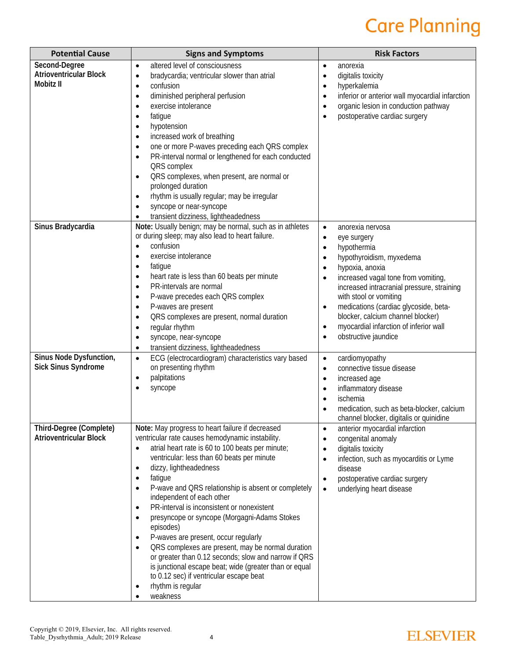| <b>Potential Cause</b>                                      | <b>Signs and Symptoms</b>                                                                                                                                                                                                                                                                                                                                                                                                                                                                                                                                                                                                                                                                                                                                                                                                                     | <b>Risk Factors</b>                                                                                                                                                                                                                                                                                                                                                                                                                                                               |
|-------------------------------------------------------------|-----------------------------------------------------------------------------------------------------------------------------------------------------------------------------------------------------------------------------------------------------------------------------------------------------------------------------------------------------------------------------------------------------------------------------------------------------------------------------------------------------------------------------------------------------------------------------------------------------------------------------------------------------------------------------------------------------------------------------------------------------------------------------------------------------------------------------------------------|-----------------------------------------------------------------------------------------------------------------------------------------------------------------------------------------------------------------------------------------------------------------------------------------------------------------------------------------------------------------------------------------------------------------------------------------------------------------------------------|
| Second-Degree<br><b>Atrioventricular Block</b><br>Mobitz II | altered level of consciousness<br>$\bullet$<br>bradycardia; ventricular slower than atrial<br>$\bullet$<br>confusion<br>$\bullet$<br>diminished peripheral perfusion<br>$\bullet$<br>exercise intolerance<br>$\bullet$<br>fatigue<br>$\bullet$<br>hypotension<br>$\bullet$<br>increased work of breathing<br>$\bullet$<br>one or more P-waves preceding each QRS complex<br>$\bullet$<br>PR-interval normal or lengthened for each conducted<br>$\bullet$<br>QRS complex<br>QRS complexes, when present, are normal or<br>$\bullet$<br>prolonged duration<br>rhythm is usually regular; may be irregular<br>$\bullet$<br>syncope or near-syncope<br>$\bullet$<br>transient dizziness, lightheadedness<br>$\bullet$                                                                                                                            | anorexia<br>$\bullet$<br>digitalis toxicity<br>$\bullet$<br>hyperkalemia<br>$\bullet$<br>inferior or anterior wall myocardial infarction<br>$\bullet$<br>organic lesion in conduction pathway<br>$\bullet$<br>postoperative cardiac surgery<br>$\bullet$                                                                                                                                                                                                                          |
| Sinus Bradycardia                                           | Note: Usually benign; may be normal, such as in athletes<br>or during sleep; may also lead to heart failure.<br>confusion<br>$\bullet$<br>exercise intolerance<br>$\bullet$<br>fatigue<br>$\bullet$<br>heart rate is less than 60 beats per minute<br>$\bullet$<br>PR-intervals are normal<br>$\bullet$<br>P-wave precedes each QRS complex<br>$\bullet$<br>P-waves are present<br>$\bullet$<br>QRS complexes are present, normal duration<br>$\bullet$<br>regular rhythm<br>$\bullet$<br>syncope, near-syncope<br>$\bullet$<br>transient dizziness, lightheadedness<br>$\bullet$                                                                                                                                                                                                                                                             | anorexia nervosa<br>$\bullet$<br>eye surgery<br>$\bullet$<br>hypothermia<br>$\bullet$<br>hypothyroidism, myxedema<br>$\bullet$<br>hypoxia, anoxia<br>$\bullet$<br>increased vagal tone from vomiting,<br>$\bullet$<br>increased intracranial pressure, straining<br>with stool or vomiting<br>medications (cardiac glycoside, beta-<br>$\bullet$<br>blocker, calcium channel blocker)<br>myocardial infarction of inferior wall<br>$\bullet$<br>obstructive jaundice<br>$\bullet$ |
| Sinus Node Dysfunction,<br><b>Sick Sinus Syndrome</b>       | ECG (electrocardiogram) characteristics vary based<br>$\bullet$<br>on presenting rhythm<br>palpitations<br>$\bullet$<br>syncope<br>0                                                                                                                                                                                                                                                                                                                                                                                                                                                                                                                                                                                                                                                                                                          | cardiomyopathy<br>$\bullet$<br>connective tissue disease<br>$\bullet$<br>increased age<br>$\bullet$<br>inflammatory disease<br>$\bullet$<br>ischemia<br>$\bullet$<br>medication, such as beta-blocker, calcium<br>$\bullet$<br>channel blocker, digitalis or quinidine                                                                                                                                                                                                            |
| Third-Degree (Complete)<br><b>Atrioventricular Block</b>    | Note: May progress to heart failure if decreased<br>ventricular rate causes hemodynamic instability.<br>atrial heart rate is 60 to 100 beats per minute;<br>$\bullet$<br>ventricular: less than 60 beats per minute<br>dizzy, lightheadedness<br>$\bullet$<br>fatigue<br>$\bullet$<br>P-wave and QRS relationship is absent or completely<br>$\bullet$<br>independent of each other<br>PR-interval is inconsistent or nonexistent<br>$\bullet$<br>presyncope or syncope (Morgagni-Adams Stokes<br>$\bullet$<br>episodes)<br>P-waves are present, occur regularly<br>$\bullet$<br>QRS complexes are present, may be normal duration<br>$\bullet$<br>or greater than 0.12 seconds; slow and narrow if QRS<br>is junctional escape beat; wide (greater than or equal<br>to 0.12 sec) if ventricular escape beat<br>rhythm is regular<br>weakness | anterior myocardial infarction<br>$\bullet$<br>congenital anomaly<br>$\bullet$<br>digitalis toxicity<br>$\bullet$<br>infection, such as myocarditis or Lyme<br>$\bullet$<br>disease<br>postoperative cardiac surgery<br>$\bullet$<br>underlying heart disease<br>$\bullet$                                                                                                                                                                                                        |

#### **ELSEVIER**